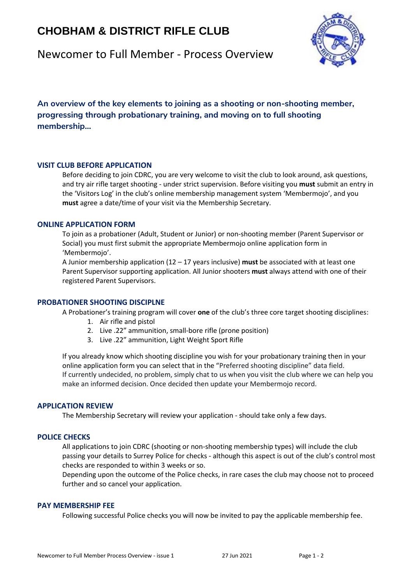# **CHOBHAM & DISTRICT RIFLE CLUB**



## Newcomer to Full Member - Process Overview

**An overview of the key elements to joining as a shooting or non-shooting member, progressing through probationary training, and moving on to full shooting membership…**

### **VISIT CLUB BEFORE APPLICATION**

Before deciding to join CDRC, you are very welcome to visit the club to look around, ask questions, and try air rifle target shooting - under strict supervision. Before visiting you **must** submit an entry in the 'Visitors Log' in the club's online membership management system 'Membermojo', and you **must** agree a date/time of your visit via the Membership Secretary.

### **ONLINE APPLICATION FORM**

To join as a probationer (Adult, Student or Junior) or non-shooting member (Parent Supervisor or Social) you must first submit the appropriate Membermojo online application form in 'Membermojo'.

A Junior membership application (12 – 17 years inclusive) **must** be associated with at least one Parent Supervisor supporting application. All Junior shooters **must** always attend with one of their registered Parent Supervisors.

### **PROBATIONER SHOOTING DISCIPLNE**

A Probationer's training program will cover **one** of the club's three core target shooting disciplines:

- 1. Air rifle and pistol
- 2. Live .22" ammunition, small-bore rifle (prone position)
- 3. Live .22" ammunition, Light Weight Sport Rifle

If you already know which shooting discipline you wish for your probationary training then in your online application form you can select that in the "Preferred shooting discipline" data field. If currently undecided, no problem, simply chat to us when you visit the club where we can help you make an informed decision. Once decided then update your Membermojo record.

### **APPLICATION REVIEW**

The Membership Secretary will review your application - should take only a few days.

### **POLICE CHECKS**

All applications to join CDRC (shooting or non-shooting membership types) will include the club passing your details to Surrey Police for checks - although this aspect is out of the club's control most checks are responded to within 3 weeks or so.

Depending upon the outcome of the Police checks, in rare cases the club may choose not to proceed further and so cancel your application.

#### **PAY MEMBERSHIP FEE**

Following successful Police checks you will now be invited to pay the applicable membership fee.